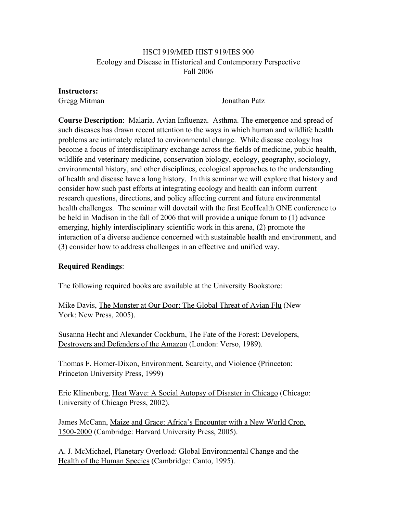# HSCI 919/MED HIST 919/IES 900 Ecology and Disease in Historical and Contemporary Perspective Fall 2006

### Instructors:

Gregg Mitman Jonathan Patz

Course Description: Malaria. Avian Influenza. Asthma. The emergence and spread of such diseases has drawn recent attention to the ways in which human and wildlife health problems are intimately related to environmental change. While disease ecology has become a focus of interdisciplinary exchange across the fields of medicine, public health, wildlife and veterinary medicine, conservation biology, ecology, geography, sociology, environmental history, and other disciplines, ecological approaches to the understanding of health and disease have a long history. In this seminar we will explore that history and consider how such past efforts at integrating ecology and health can inform current research questions, directions, and policy affecting current and future environmental health challenges. The seminar will dovetail with the first EcoHealth ONE conference to be held in Madison in the fall of 2006 that will provide a unique forum to (1) advance emerging, highly interdisciplinary scientific work in this arena, (2) promote the interaction of a diverse audience concerned with sustainable health and environment, and (3) consider how to address challenges in an effective and unified way.

# Required Readings:

The following required books are available at the University Bookstore:

Mike Davis, The Monster at Our Door: The Global Threat of Avian Flu (New York: New Press, 2005).

Susanna Hecht and Alexander Cockburn, The Fate of the Forest: Developers, Destroyers and Defenders of the Amazon (London: Verso, 1989).

Thomas F. Homer-Dixon, Environment, Scarcity, and Violence (Princeton: Princeton University Press, 1999)

Eric Klinenberg, Heat Wave: A Social Autopsy of Disaster in Chicago (Chicago: University of Chicago Press, 2002).

James McCann, Maize and Grace: Africa's Encounter with a New World Crop, 1500-2000 (Cambridge: Harvard University Press, 2005).

A. J. McMichael, Planetary Overload: Global Environmental Change and the Health of the Human Species (Cambridge: Canto, 1995).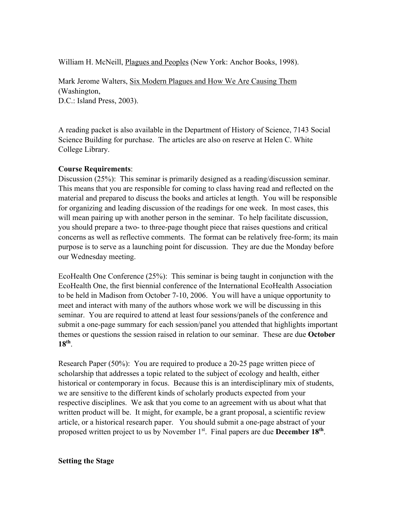William H. McNeill, Plagues and Peoples (New York: Anchor Books, 1998).

Mark Jerome Walters, Six Modern Plagues and How We Are Causing Them (Washington, D.C.: Island Press, 2003).

A reading packet is also available in the Department of History of Science, 7143 Social Science Building for purchase. The articles are also on reserve at Helen C. White College Library.

# Course Requirements:

Discussion (25%): This seminar is primarily designed as a reading/discussion seminar. This means that you are responsible for coming to class having read and reflected on the material and prepared to discuss the books and articles at length. You will be responsible for organizing and leading discussion of the readings for one week. In most cases, this will mean pairing up with another person in the seminar. To help facilitate discussion, you should prepare a two- to three-page thought piece that raises questions and critical concerns as well as reflective comments. The format can be relatively free-form; its main purpose is to serve as a launching point for discussion. They are due the Monday before our Wednesday meeting.

EcoHealth One Conference (25%): This seminar is being taught in conjunction with the EcoHealth One, the first biennial conference of the International EcoHealth Association to be held in Madison from October 7-10, 2006. You will have a unique opportunity to meet and interact with many of the authors whose work we will be discussing in this seminar. You are required to attend at least four sessions/panels of the conference and submit a one-page summary for each session/panel you attended that highlights important themes or questions the session raised in relation to our seminar. These are due October 18th.

Research Paper (50%): You are required to produce a 20-25 page written piece of scholarship that addresses a topic related to the subject of ecology and health, either historical or contemporary in focus. Because this is an interdisciplinary mix of students, we are sensitive to the different kinds of scholarly products expected from your respective disciplines. We ask that you come to an agreement with us about what that written product will be. It might, for example, be a grant proposal, a scientific review article, or a historical research paper. You should submit a one-page abstract of your proposed written project to us by November  $1<sup>st</sup>$ . Final papers are due **December 18<sup>th</sup>**.

### Setting the Stage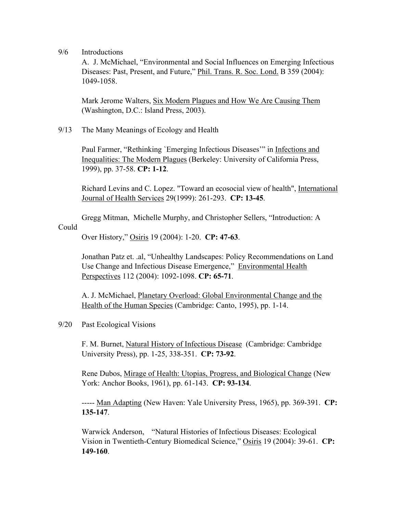9/6 Introductions

A. J. McMichael, "Environmental and Social Influences on Emerging Infectious Diseases: Past, Present, and Future," Phil. Trans. R. Soc. Lond. B 359 (2004): 1049-1058.

Mark Jerome Walters, Six Modern Plagues and How We Are Causing Them (Washington, D.C.: Island Press, 2003).

9/13 The Many Meanings of Ecology and Health

Paul Farmer, "Rethinking `Emerging Infectious Diseases'" in Infections and Inequalities: The Modern Plagues (Berkeley: University of California Press, 1999), pp. 37-58. CP: 1-12.

Richard Levins and C. Lopez. "Toward an ecosocial view of health", International Journal of Health Services 29(1999): 261-293. CP: 13-45.

Gregg Mitman, Michelle Murphy, and Christopher Sellers, "Introduction: A

# Could

Over History," Osiris 19 (2004): 1-20. CP: 47-63.

Jonathan Patz et. .al, "Unhealthy Landscapes: Policy Recommendations on Land Use Change and Infectious Disease Emergence," Environmental Health Perspectives 112 (2004): 1092-1098. CP: 65-71.

A. J. McMichael, Planetary Overload: Global Environmental Change and the Health of the Human Species (Cambridge: Canto, 1995), pp. 1-14.

9/20 Past Ecological Visions

F. M. Burnet, Natural History of Infectious Disease (Cambridge: Cambridge University Press), pp. 1-25, 338-351. CP: 73-92.

Rene Dubos, Mirage of Health: Utopias, Progress, and Biological Change (New York: Anchor Books, 1961), pp. 61-143. CP: 93-134.

----- Man Adapting (New Haven: Yale University Press, 1965), pp. 369-391. CP: 135-147.

Warwick Anderson, "Natural Histories of Infectious Diseases: Ecological Vision in Twentieth-Century Biomedical Science," Osiris 19 (2004): 39-61. CP: 149-160.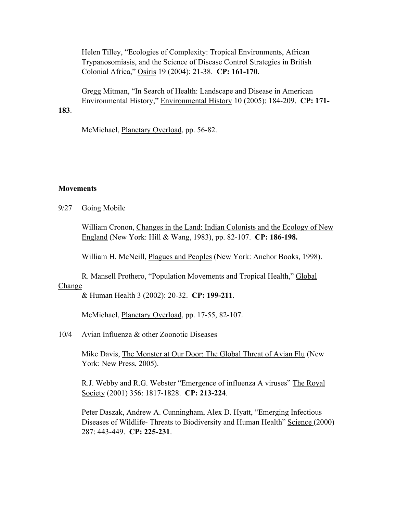Helen Tilley, "Ecologies of Complexity: Tropical Environments, African Trypanosomiasis, and the Science of Disease Control Strategies in British Colonial Africa," Osiris 19 (2004): 21-38. CP: 161-170.

Gregg Mitman, "In Search of Health: Landscape and Disease in American Environmental History," Environmental History 10 (2005): 184-209. CP: 171-

### 183.

McMichael, Planetary Overload, pp. 56-82.

#### **Movements**

9/27 Going Mobile

William Cronon, Changes in the Land: Indian Colonists and the Ecology of New England (New York: Hill & Wang, 1983), pp. 82-107. CP: 186-198.

William H. McNeill, Plagues and Peoples (New York: Anchor Books, 1998).

R. Mansell Prothero, "Population Movements and Tropical Health," Global **Change** 

& Human Health 3 (2002): 20-32. CP: 199-211.

McMichael, Planetary Overload, pp. 17-55, 82-107.

10/4 Avian Influenza & other Zoonotic Diseases

Mike Davis, The Monster at Our Door: The Global Threat of Avian Flu (New York: New Press, 2005).

R.J. Webby and R.G. Webster "Emergence of influenza A viruses" The Royal Society (2001) 356: 1817-1828. CP: 213-224.

Peter Daszak, Andrew A. Cunningham, Alex D. Hyatt, "Emerging Infectious Diseases of Wildlife- Threats to Biodiversity and Human Health" Science (2000) 287: 443-449. CP: 225-231.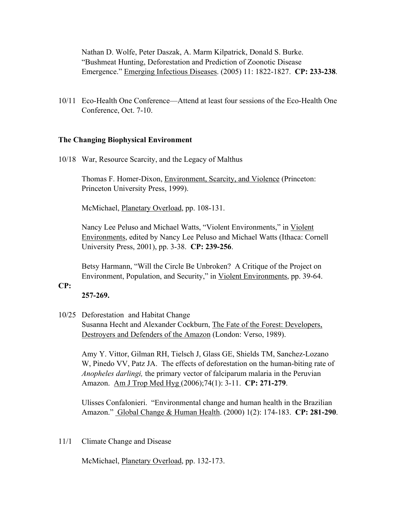Nathan D. Wolfe, Peter Daszak, A. Marm Kilpatrick, Donald S. Burke. "Bushmeat Hunting, Deforestation and Prediction of Zoonotic Disease Emergence." Emerging Infectious Diseases. (2005) 11: 1822-1827. CP: 233-238.

10/11 Eco-Health One Conference—Attend at least four sessions of the Eco-Health One Conference, Oct. 7-10.

### The Changing Biophysical Environment

10/18 War, Resource Scarcity, and the Legacy of Malthus

Thomas F. Homer-Dixon, Environment, Scarcity, and Violence (Princeton: Princeton University Press, 1999).

McMichael, Planetary Overload, pp. 108-131.

Nancy Lee Peluso and Michael Watts, "Violent Environments," in Violent Environments, edited by Nancy Lee Peluso and Michael Watts (Ithaca: Cornell University Press, 2001), pp. 3-38. CP: 239-256.

Betsy Harmann, "Will the Circle Be Unbroken? A Critique of the Project on Environment, Population, and Security," in Violent Environments, pp. 39-64.

## CP:

257-269.

### 10/25 Deforestation and Habitat Change

Susanna Hecht and Alexander Cockburn, The Fate of the Forest: Developers, Destroyers and Defenders of the Amazon (London: Verso, 1989).

Amy Y. Vittor, Gilman RH, Tielsch J, Glass GE, Shields TM, Sanchez-Lozano W, Pinedo VV, Patz JA. The effects of deforestation on the human-biting rate of *Anopheles darlingi,* the primary vector of falciparum malaria in the Peruvian Amazon. Am J Trop Med Hyg (2006); 74(1): 3-11. CP: 271-279.

Ulisses Confalonieri. "Environmental change and human health in the Brazilian Amazon." Global Change & Human Health. (2000) 1(2): 174-183. CP: 281-290.

11/1 Climate Change and Disease

McMichael, Planetary Overload, pp. 132-173.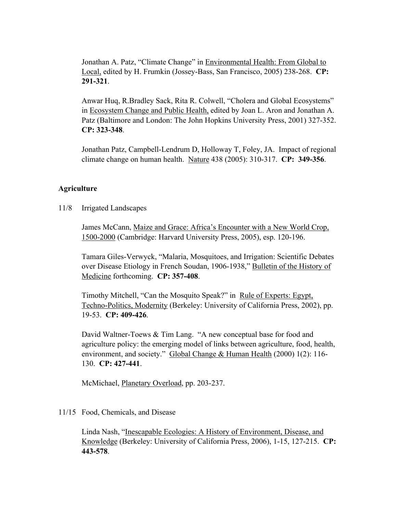Jonathan A. Patz, "Climate Change" in Environmental Health: From Global to Local, edited by H. Frumkin (Jossey-Bass, San Francisco, 2005) 238-268. CP: 291-321.

Anwar Huq, R.Bradley Sack, Rita R. Colwell, "Cholera and Global Ecosystems" in Ecosystem Change and Public Health, edited by Joan L. Aron and Jonathan A. Patz (Baltimore and London: The John Hopkins University Press, 2001) 327-352. CP: 323-348.

Jonathan Patz, Campbell-Lendrum D, Holloway T, Foley, JA. Impact of regional climate change on human health. Nature 438 (2005): 310-317. CP: 349-356.

### **Agriculture**

11/8 Irrigated Landscapes

James McCann, Maize and Grace: Africa's Encounter with a New World Crop, 1500-2000 (Cambridge: Harvard University Press, 2005), esp. 120-196.

Tamara Giles-Verwyck, "Malaria, Mosquitoes, and Irrigation: Scientific Debates over Disease Etiology in French Soudan, 1906-1938," Bulletin of the History of Medicine forthcoming. CP: 357-408.

Timothy Mitchell, "Can the Mosquito Speak?" in Rule of Experts: Egypt, Techno-Politics, Modernity (Berkeley: University of California Press, 2002), pp. 19-53. CP: 409-426.

David Waltner-Toews & Tim Lang. "A new conceptual base for food and agriculture policy: the emerging model of links between agriculture, food, health, environment, and society." Global Change & Human Health (2000) 1(2): 116-130. CP: 427-441.

McMichael, Planetary Overload, pp. 203-237.

### 11/15 Food, Chemicals, and Disease

Linda Nash, "Inescapable Ecologies: A History of Environment, Disease, and Knowledge (Berkeley: University of California Press, 2006), 1-15, 127-215. CP: 443-578.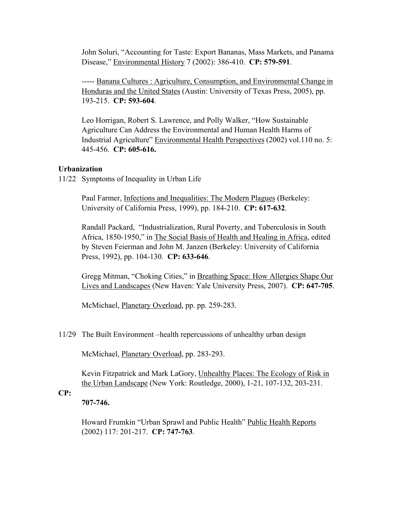John Soluri, "Accounting for Taste: Export Bananas, Mass Markets, and Panama Disease," Environmental History 7 (2002): 386-410. CP: 579-591.

----- Banana Cultures : Agriculture, Consumption, and Environmental Change in Honduras and the United States (Austin: University of Texas Press, 2005), pp. 193-215. CP: 593-604.

Leo Horrigan, Robert S. Lawrence, and Polly Walker, "How Sustainable Agriculture Can Address the Environmental and Human Health Harms of Industrial Agriculture" Environmental Health Perspectives (2002) vol.110 no. 5: 445-456. CP: 605-616.

# Urbanization

11/22 Symptoms of Inequality in Urban Life

Paul Farmer, Infections and Inequalities: The Modern Plagues (Berkeley: University of California Press, 1999), pp. 184-210. CP: 617-632.

Randall Packard, "Industrialization, Rural Poverty, and Tuberculosis in South Africa, 1850-1950," in The Social Basis of Health and Healing in Africa, edited by Steven Feierman and John M. Janzen (Berkeley: University of California Press, 1992), pp. 104-130. CP: 633-646.

Gregg Mitman, "Choking Cities," in Breathing Space: How Allergies Shape Our Lives and Landscapes (New Haven: Yale University Press, 2007). CP: 647-705.

McMichael, Planetary Overload, pp. pp. 259-283.

11/29 The Built Environment –health repercussions of unhealthy urban design

McMichael, Planetary Overload, pp. 283-293.

Kevin Fitzpatrick and Mark LaGory, Unhealthy Places: The Ecology of Risk in the Urban Landscape (New York: Routledge, 2000), 1-21, 107-132, 203-231.

CP:

707-746.

Howard Frumkin "Urban Sprawl and Public Health" Public Health Reports (2002) 117: 201-217. CP: 747-763.